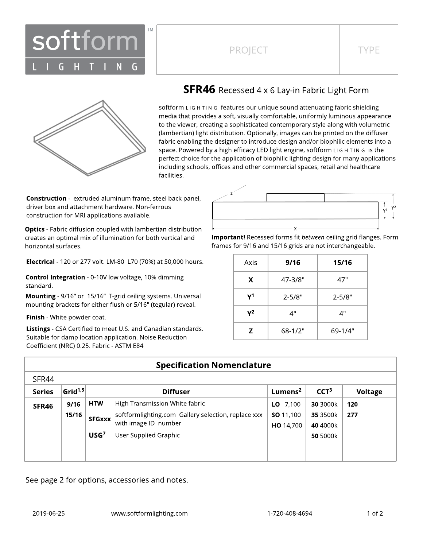

## PROJECT TYPE



## **SFR46** Recessed 4 x 6 Lay-in Fabric Light Form

softform LIG H TIN G features our unique sound attenuating fabric shielding media that provides a soft, visually comfortable, uniformly luminous appearance to the viewer, creating a sophisticated contemporary style along with volumetric (lambertian) light distribution. Optionally, images can be printed on the diffuser fabric enabling the designer to introduce design and/or biophilic elements into a space. Powered by a high efficacy LED light engine, softform L IG H T IN G is the perfect choice for the application of biophilic lighting design for many applications including schools, offices and other commercial spaces, retail and healthcare facilities.

**Construction** - extruded aluminum frame, steel back panel, driver box and attachment hardware. Non-ferrous construction for MRI applications available.

**Optics** - Fabric diffusion coupled with lambertian distribution creates an optimal mix of illumination for both vertical and horizontal surfaces.

Electrical - 120 or 277 volt. LM-80 L70 (70%) at 50,000 hours.

Control Integration - 0-10V low voltage, 10% dimming standard.

Mounting - 9/16" or 15/16" T-grid ceiling systems. Universal mounting brackets for either flush or 5/16" (tegular) reveal.

Finish - White powder coat.

Listings - CSA Certified to meet U.S. and Canadian standards. Suitable for damp location application. Noise Reduction Coefficient (NRC) 0.25. Fabric - ASTM E84



Important! Recessed forms fit between ceiling grid flanges. Form frames for 9/16 and 15/16 grids are not interchangeable.

| Axis | 9/16        | 15/16       |  |  |
|------|-------------|-------------|--|--|
| X    | 47-3/8"     | 47"         |  |  |
| γ1   | $2 - 5/8"$  | $2 - 5/8"$  |  |  |
| Υ2   | 4"          | 4"          |  |  |
| Z    | $68 - 1/2"$ | $69 - 1/4"$ |  |  |

| <b>Specification Nomenclature</b> |                        |                      |                                                     |                     |                  |         |
|-----------------------------------|------------------------|----------------------|-----------------------------------------------------|---------------------|------------------|---------|
| SFR44                             |                        |                      |                                                     |                     |                  |         |
| <b>Series</b>                     | Grid <sup>1,5</sup>    |                      | <b>Diffuser</b>                                     | Lumens <sup>2</sup> | CCT <sup>3</sup> | Voltage |
| SFR46                             | 9/16                   | <b>HTW</b>           | High Transmission White fabric                      | <b>LO</b> $7,100$   | 30 3000k         | 120     |
|                                   | 15/16<br><b>SFGxxx</b> |                      | softformlighting.com Gallery selection, replace xxx | <b>SO</b> 11,100    | 35 3500k         | 277     |
|                                   |                        | with image ID number | <b>HO</b> 14,700                                    | 40 4000k            |                  |         |
|                                   |                        | USG <sup>7</sup>     | User Supplied Graphic                               |                     | 50 5000k         |         |
|                                   |                        |                      |                                                     |                     |                  |         |
|                                   |                        |                      |                                                     |                     |                  |         |

See page 2 for options, accessories and notes.